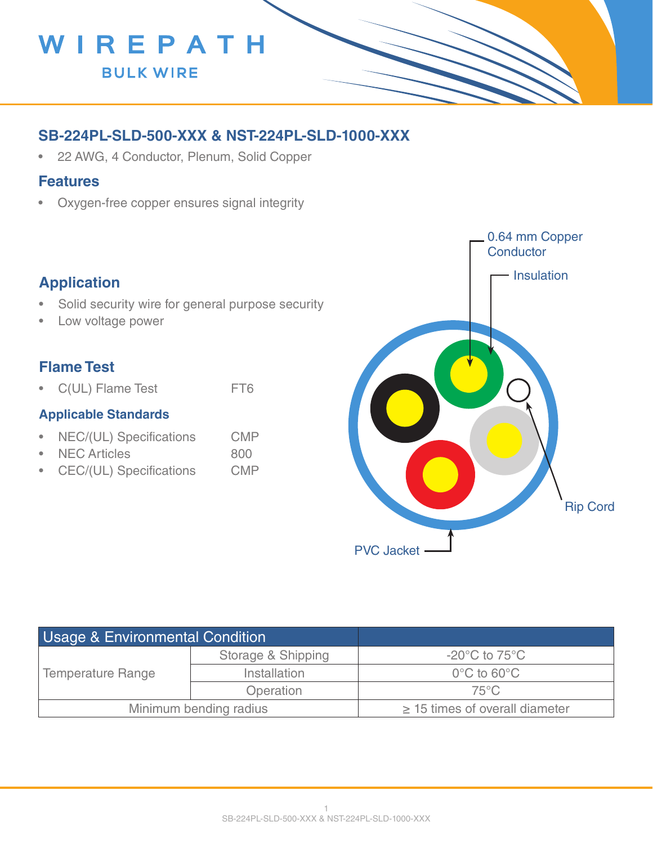

## **SB-224PL-SLD-500-XXX & NST-224PL-SLD-1000-XXX**

• 22 AWG, 4 Conductor, Plenum, Solid Copper

#### **Features**

• Oxygen-free copper ensures signal integrity

## **Application**

- Solid security wire for general purpose security
- Low voltage power

### **Flame Test**

• C(UL) Flame Test FT6

#### **Applicable Standards**

- NEC/(UL) Specifications CMP
- NEC Articles 800
- CEC/(UL) Specifications CMP



| <b>Usage &amp; Environmental Condition</b> |                    |                                     |
|--------------------------------------------|--------------------|-------------------------------------|
| <b>Temperature Range</b>                   | Storage & Shipping | $-20^{\circ}$ C to 75 $^{\circ}$ C  |
|                                            | Installation       | $0^{\circ}$ C to 60 $^{\circ}$ C    |
|                                            | Operation          | $75^{\circ}$ C                      |
| Minimum bending radius                     |                    | $\geq$ 15 times of overall diameter |